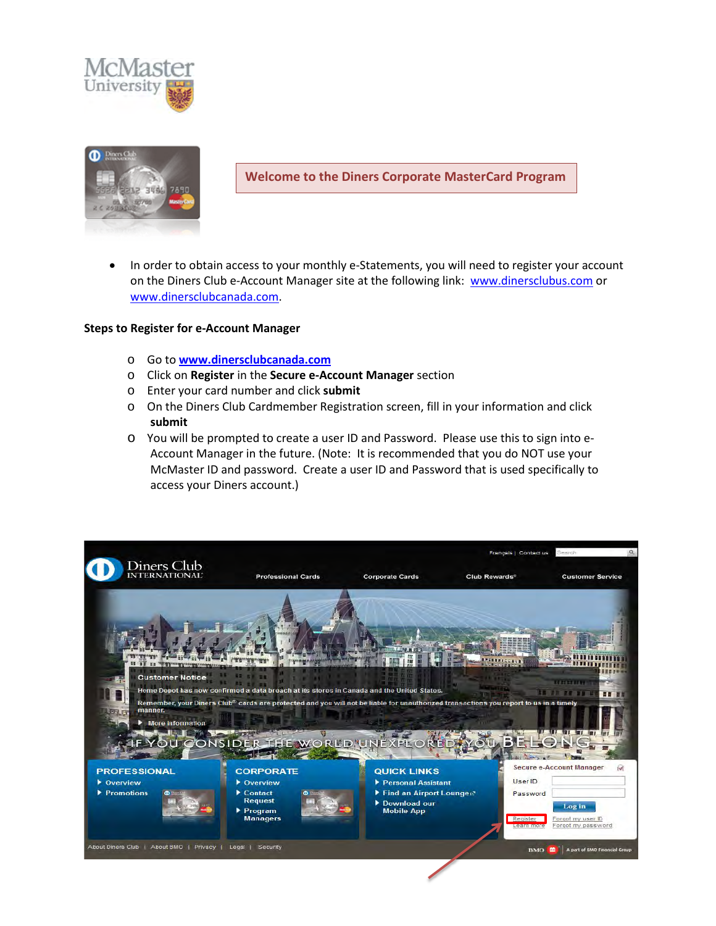



**Welcome to the Diners Corporate MasterCard Program**

• In order to obtain access to your monthly e-Statements, you will need to register your account on the Diners Club e-Account Manager site at the following link: [www.dinersclubus.com](http://www.dinersclubus.com/) or [www.dinersclubcanada.com.](http://www.dinersclubcanada.com/)

## **Steps to Register for e-Account Manager**

- o Go to **[www.dinersclubcanada.com](http://www.dinersclubcanada.com/)**
- o Click on **Register** in the **Secure e-Account Manager** section
- o Enter your card number and click **submit**
- o On the Diners Club Cardmember Registration screen, fill in your information and click **submit**
- o You will be prompted to create a user ID and Password. Please use this to sign into e-Account Manager in the future. (Note: It is recommended that you do NOT use your McMaster ID and password. Create a user ID and Password that is used specifically to access your Diners account.)